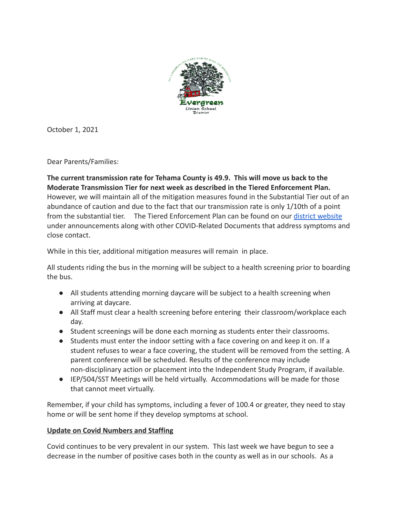

October 1, 2021

Dear Parents/Families:

**The current transmission rate for Tehama County is 49.9. This will move us back to the Moderate Transmission Tier for next week as described in the Tiered Enforcement Plan.** However, we will maintain all of the mitigation measures found in the Substantial Tier out of an abundance of caution and due to the fact that our transmission rate is only 1/10th of a point from the substantial tier. The Tiered Enforcement Plan can be found on our [district website](http://evergreenusd.org) under announcements along with other COVID-Related Documents that address symptoms and close contact.

While in this tier, additional mitigation measures will remain in place.

All students riding the bus in the morning will be subject to a health screening prior to boarding the bus.

- All students attending morning daycare will be subject to a health screening when arriving at daycare.
- All Staff must clear a health screening before entering their classroom/workplace each day.
- Student screenings will be done each morning as students enter their classrooms.
- Students must enter the indoor setting with a face covering on and keep it on. If a student refuses to wear a face covering, the student will be removed from the setting. A parent conference will be scheduled. Results of the conference may include non-disciplinary action or placement into the Independent Study Program, if available.
- IEP/504/SST Meetings will be held virtually. Accommodations will be made for those that cannot meet virtually.

Remember, if your child has symptoms, including a fever of 100.4 or greater, they need to stay home or will be sent home if they develop symptoms at school.

## **Update on Covid Numbers and Staffing**

Covid continues to be very prevalent in our system. This last week we have begun to see a decrease in the number of positive cases both in the county as well as in our schools. As a